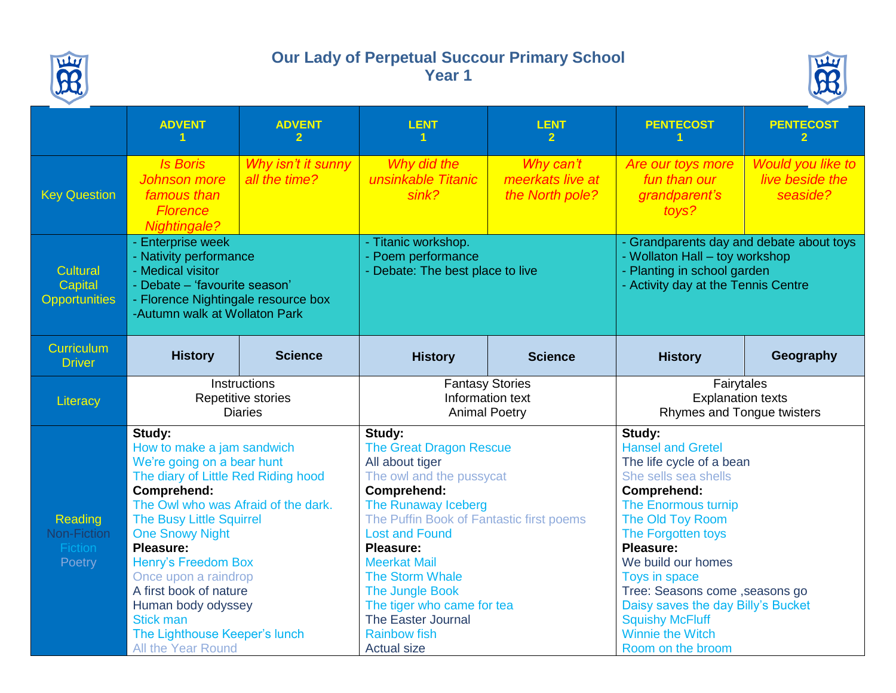

## **Our Lady of Perpetual Succour Primary School Year 1**



|                                                    | <b>ADVENT</b>                                                                                                                                                                                                                                                                                                                                                                                                       | <b>ADVENT</b><br>2                                   | <b>LENT</b>                                                                                                                                                                                                                                                                                                                                                                                        | <b>LENT</b>                                      | <b>PENTECOST</b>                                                                                                                                                                                                                                                                                                                                                              | <b>PENTECOST</b>                                        |
|----------------------------------------------------|---------------------------------------------------------------------------------------------------------------------------------------------------------------------------------------------------------------------------------------------------------------------------------------------------------------------------------------------------------------------------------------------------------------------|------------------------------------------------------|----------------------------------------------------------------------------------------------------------------------------------------------------------------------------------------------------------------------------------------------------------------------------------------------------------------------------------------------------------------------------------------------------|--------------------------------------------------|-------------------------------------------------------------------------------------------------------------------------------------------------------------------------------------------------------------------------------------------------------------------------------------------------------------------------------------------------------------------------------|---------------------------------------------------------|
| <b>Key Question</b>                                | <b>Is Boris</b><br><b>Johnson</b> more<br>famous than<br><b>Florence</b><br><b>Nightingale?</b>                                                                                                                                                                                                                                                                                                                     | Why isn't it sunny<br>all the time?                  | Why did the<br>unsinkable Titanic<br>sink?                                                                                                                                                                                                                                                                                                                                                         | Why can't<br>meerkats live at<br>the North pole? | Are our toys more<br>fun than our<br>grandparent's<br>toys?                                                                                                                                                                                                                                                                                                                   | <b>Would you like to</b><br>live beside the<br>seaside? |
| Cultural<br><b>Capital</b><br><b>Opportunities</b> | - Enterprise week<br>- Nativity performance<br>- Medical visitor<br>- Debate - 'favourite season'<br>- Florence Nightingale resource box<br>-Autumn walk at Wollaton Park                                                                                                                                                                                                                                           |                                                      | - Titanic workshop.<br>- Poem performance<br>- Debate: The best place to live                                                                                                                                                                                                                                                                                                                      |                                                  | - Grandparents day and debate about toys<br>- Wollaton Hall - toy workshop<br>- Planting in school garden<br>- Activity day at the Tennis Centre                                                                                                                                                                                                                              |                                                         |
| <b>Curriculum</b><br><b>Driver</b>                 | <b>History</b>                                                                                                                                                                                                                                                                                                                                                                                                      | <b>Science</b>                                       | <b>History</b>                                                                                                                                                                                                                                                                                                                                                                                     | <b>Science</b>                                   | <b>History</b>                                                                                                                                                                                                                                                                                                                                                                | Geography                                               |
| Literacy                                           |                                                                                                                                                                                                                                                                                                                                                                                                                     | Instructions<br>Repetitive stories<br><b>Diaries</b> | <b>Fantasy Stories</b><br>Information text<br><b>Animal Poetry</b>                                                                                                                                                                                                                                                                                                                                 |                                                  | Fairytales<br><b>Explanation texts</b><br>Rhymes and Tongue twisters                                                                                                                                                                                                                                                                                                          |                                                         |
| Reading<br>Non-Fiction<br>Fiction<br>Poetry        | Study:<br>How to make a jam sandwich<br>We're going on a bear hunt<br>The diary of Little Red Riding hood<br>Comprehend:<br>The Owl who was Afraid of the dark.<br><b>The Busy Little Squirrel</b><br><b>One Snowy Night</b><br>Pleasure:<br>Henry's Freedom Box<br>Once upon a raindrop<br>A first book of nature<br>Human body odyssey<br><b>Stick man</b><br>The Lighthouse Keeper's lunch<br>All the Year Round |                                                      | Study:<br><b>The Great Dragon Rescue</b><br>All about tiger<br>The owl and the pussycat<br><b>Comprehend:</b><br>The Runaway Iceberg<br>The Puffin Book of Fantastic first poems<br><b>Lost and Found</b><br><b>Pleasure:</b><br><b>Meerkat Mail</b><br><b>The Storm Whale</b><br>The Jungle Book<br>The tiger who came for tea<br>The Easter Journal<br><b>Rainbow fish</b><br><b>Actual size</b> |                                                  | Study:<br><b>Hansel and Gretel</b><br>The life cycle of a bean<br>She sells sea shells<br>Comprehend:<br>The Enormous turnip<br>The Old Toy Room<br>The Forgotten toys<br>Pleasure:<br>We build our homes<br>Toys in space<br>Tree: Seasons come , seasons go<br>Daisy saves the day Billy's Bucket<br><b>Squishy McFluff</b><br><b>Winnie the Witch</b><br>Room on the broom |                                                         |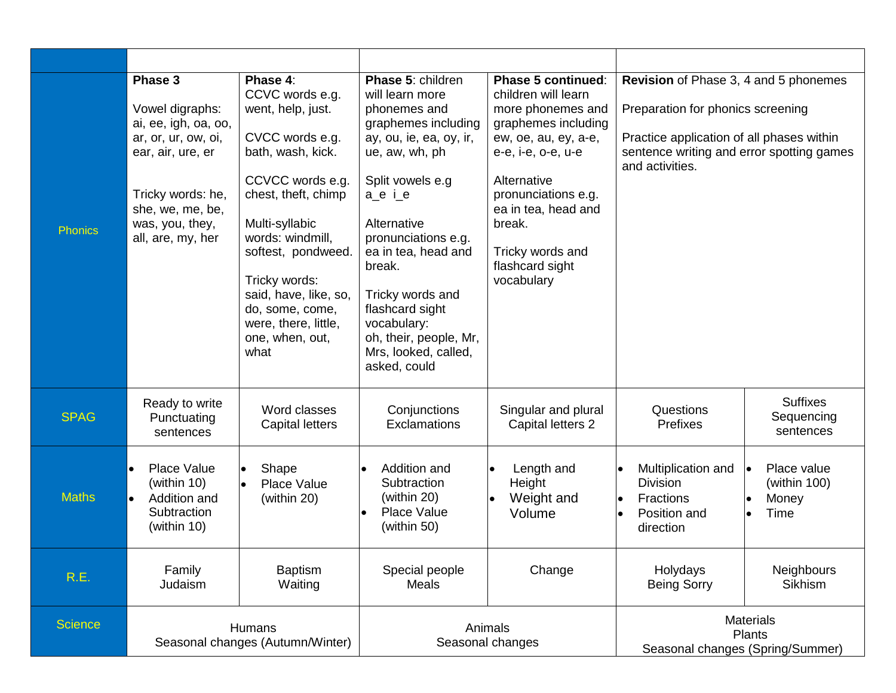| <b>Phonics</b> | Phase 3<br>Vowel digraphs:<br>ai, ee, igh, oa, oo,<br>ar, or, ur, ow, oi,<br>ear, air, ure, er<br>Tricky words: he,<br>she, we, me, be,<br>was, you, they,<br>all, are, my, her | Phase 4:<br>CCVC words e.g.<br>went, help, just.<br>CVCC words e.g.<br>bath, wash, kick.<br>CCVCC words e.g.<br>chest, theft, chimp<br>Multi-syllabic<br>words: windmill,<br>softest, pondweed.<br>Tricky words:<br>said, have, like, so,<br>do, some, come,<br>were, there, little,<br>one, when, out,<br>what | <b>Phase 5: children</b><br>Phase 5 continued:<br>children will learn<br>will learn more<br>phonemes and<br>more phonemes and<br>graphemes including<br>graphemes including<br>ay, ou, ie, ea, oy, ir,<br>ew, oe, au, ey, a-e,<br>ue, aw, wh, ph<br>e-e, i-e, o-e, u-e<br>Alternative<br>Split vowels e.g<br>pronunciations e.g.<br>a_e i_e<br>ea in tea, head and<br>Alternative<br>break.<br>pronunciations e.g.<br>ea in tea, head and<br>Tricky words and<br>flashcard sight<br>break.<br>vocabulary<br>Tricky words and<br>flashcard sight<br>vocabulary:<br>oh, their, people, Mr,<br>Mrs, looked, called,<br>asked, could |                                              | Revision of Phase 3, 4 and 5 phonemes<br>Preparation for phonics screening<br>Practice application of all phases within<br>sentence writing and error spotting games<br>and activities. |                                                              |  |
|----------------|---------------------------------------------------------------------------------------------------------------------------------------------------------------------------------|-----------------------------------------------------------------------------------------------------------------------------------------------------------------------------------------------------------------------------------------------------------------------------------------------------------------|----------------------------------------------------------------------------------------------------------------------------------------------------------------------------------------------------------------------------------------------------------------------------------------------------------------------------------------------------------------------------------------------------------------------------------------------------------------------------------------------------------------------------------------------------------------------------------------------------------------------------------|----------------------------------------------|-----------------------------------------------------------------------------------------------------------------------------------------------------------------------------------------|--------------------------------------------------------------|--|
| <b>SPAG</b>    | Ready to write<br>Punctuating<br>sentences                                                                                                                                      | Word classes<br><b>Capital letters</b>                                                                                                                                                                                                                                                                          | Conjunctions<br><b>Exclamations</b>                                                                                                                                                                                                                                                                                                                                                                                                                                                                                                                                                                                              | Singular and plural<br>Capital letters 2     | Questions<br>Prefixes                                                                                                                                                                   | <b>Suffixes</b><br>Sequencing<br>sentences                   |  |
| <b>Maths</b>   | Place Value<br>Shape<br>l o<br>(within 10)<br>Place Value<br>l o<br>Addition and<br>(within 20)<br>$\bullet$<br>Subtraction<br>(within 10)                                      |                                                                                                                                                                                                                                                                                                                 | Addition and<br>Subtraction<br>(within 20)<br><b>Place Value</b><br>(within 50)                                                                                                                                                                                                                                                                                                                                                                                                                                                                                                                                                  | Length and<br>Height<br>Weight and<br>Volume | Multiplication and<br><b>Division</b><br><b>Fractions</b><br>$\bullet$<br>Position and<br>$\bullet$<br>direction                                                                        | Place value<br>$\bullet$<br>(within $100$ )<br>Money<br>Time |  |
| R.E.           | Family<br>Judaism                                                                                                                                                               | <b>Baptism</b><br>Waiting                                                                                                                                                                                                                                                                                       | Special people<br>Meals                                                                                                                                                                                                                                                                                                                                                                                                                                                                                                                                                                                                          | Change                                       | Holydays<br><b>Being Sorry</b>                                                                                                                                                          | <b>Neighbours</b><br>Sikhism                                 |  |
| <b>Science</b> | <b>Humans</b><br>Seasonal changes (Autumn/Winter)                                                                                                                               |                                                                                                                                                                                                                                                                                                                 | Animals<br>Seasonal changes                                                                                                                                                                                                                                                                                                                                                                                                                                                                                                                                                                                                      |                                              | <b>Materials</b><br>Plants<br>Seasonal changes (Spring/Summer)                                                                                                                          |                                                              |  |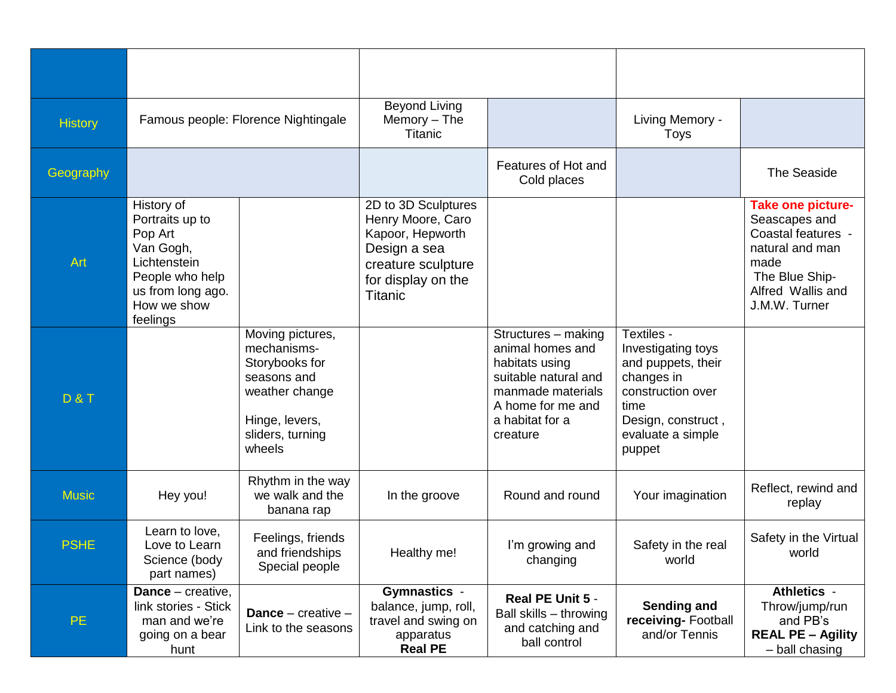| <b>History</b> | Famous people: Florence Nightingale                                                                                                      |                                                                                                                                    | <b>Beyond Living</b><br>Memory $-$ The<br><b>Titanic</b>                                                                                   |                                                                                                                                                            | Living Memory -<br>Toys                                                                                                                                |                                                                                                                                                    |
|----------------|------------------------------------------------------------------------------------------------------------------------------------------|------------------------------------------------------------------------------------------------------------------------------------|--------------------------------------------------------------------------------------------------------------------------------------------|------------------------------------------------------------------------------------------------------------------------------------------------------------|--------------------------------------------------------------------------------------------------------------------------------------------------------|----------------------------------------------------------------------------------------------------------------------------------------------------|
| Geography      |                                                                                                                                          |                                                                                                                                    |                                                                                                                                            | Features of Hot and<br>Cold places                                                                                                                         |                                                                                                                                                        | The Seaside                                                                                                                                        |
| Art            | History of<br>Portraits up to<br>Pop Art<br>Van Gogh,<br>Lichtenstein<br>People who help<br>us from long ago.<br>How we show<br>feelings |                                                                                                                                    | 2D to 3D Sculptures<br>Henry Moore, Caro<br>Kapoor, Hepworth<br>Design a sea<br>creature sculpture<br>for display on the<br><b>Titanic</b> |                                                                                                                                                            |                                                                                                                                                        | <b>Take one picture-</b><br>Seascapes and<br>Coastal features -<br>natural and man<br>made<br>The Blue Ship-<br>Alfred Wallis and<br>J.M.W. Turner |
| <b>D&amp;T</b> |                                                                                                                                          | Moving pictures,<br>mechanisms-<br>Storybooks for<br>seasons and<br>weather change<br>Hinge, levers,<br>sliders, turning<br>wheels |                                                                                                                                            | Structures - making<br>animal homes and<br>habitats using<br>suitable natural and<br>manmade materials<br>A home for me and<br>a habitat for a<br>creature | Textiles -<br>Investigating toys<br>and puppets, their<br>changes in<br>construction over<br>time<br>Design, construct,<br>evaluate a simple<br>puppet |                                                                                                                                                    |
| <b>Music</b>   | Hey you!                                                                                                                                 | Rhythm in the way<br>we walk and the<br>banana rap                                                                                 | In the groove                                                                                                                              | Round and round                                                                                                                                            | Your imagination                                                                                                                                       | Reflect, rewind and<br>replay                                                                                                                      |
| <b>PSHE</b>    | Learn to love,<br>Love to Learn<br>Science (body<br>part names)                                                                          | Feelings, friends<br>and friendships<br>Special people                                                                             | Healthy me!                                                                                                                                | I'm growing and<br>changing                                                                                                                                | Safety in the real<br>world                                                                                                                            | Safety in the Virtual<br>world                                                                                                                     |
| PE             | <b>Dance</b> – creative,<br>link stories - Stick<br>man and we're<br>going on a bear<br>hunt                                             | Dance $-$ creative $-$<br>Link to the seasons                                                                                      | <b>Gymnastics -</b><br>balance, jump, roll,<br>travel and swing on<br>apparatus<br><b>Real PE</b>                                          | Real PE Unit 5 -<br>Ball skills - throwing<br>and catching and<br>ball control                                                                             | <b>Sending and</b><br>receiving-Football<br>and/or Tennis                                                                                              | Athletics -<br>Throw/jump/run<br>and PB's<br><b>REAL PE - Agility</b><br>- ball chasing                                                            |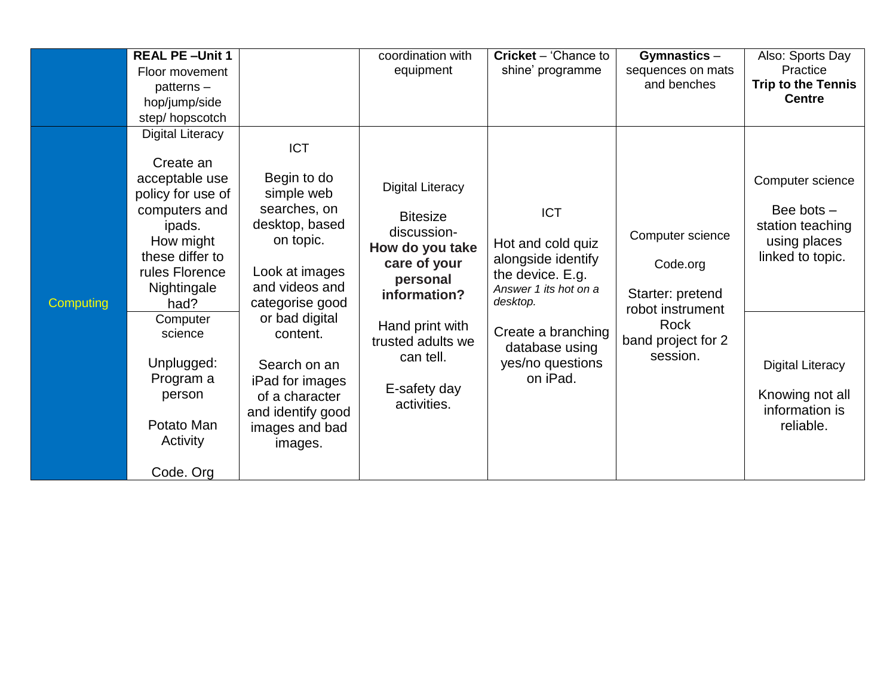|           | <b>REAL PE-Unit 1</b>   |                   | coordination with       | <b>Cricket</b> – 'Chance to | Gymnastics $-$     | Also: Sports Day          |
|-----------|-------------------------|-------------------|-------------------------|-----------------------------|--------------------|---------------------------|
|           | Floor movement          |                   | equipment               | shine' programme            | sequences on mats  | Practice                  |
|           | patterns-               |                   |                         |                             | and benches        | <b>Trip to the Tennis</b> |
|           | hop/jump/side           |                   |                         |                             |                    | <b>Centre</b>             |
|           | step/hopscotch          |                   |                         |                             |                    |                           |
|           | <b>Digital Literacy</b> |                   |                         |                             |                    |                           |
|           |                         | <b>ICT</b>        |                         |                             |                    |                           |
|           | Create an               |                   |                         |                             |                    |                           |
|           | acceptable use          | Begin to do       |                         |                             |                    | Computer science          |
|           | policy for use of       | simple web        | <b>Digital Literacy</b> |                             |                    |                           |
|           | computers and           | searches, on      | <b>Bitesize</b>         | <b>ICT</b>                  |                    | Bee bots $-$              |
|           | ipads.                  | desktop, based    | discussion-             |                             |                    | station teaching          |
|           | How might               | on topic.         |                         | Hot and cold quiz           | Computer science   | using places              |
|           | these differ to         |                   | How do you take         | alongside identify          |                    | linked to topic.          |
|           | rules Florence          | Look at images    | care of your            | the device. E.g.            | Code.org           |                           |
|           | Nightingale             | and videos and    | personal                | Answer 1 its hot on a       | Starter: pretend   |                           |
| Computing | had?                    | categorise good   | information?            | desktop.                    | robot instrument   |                           |
|           | Computer                | or bad digital    | Hand print with         |                             | Rock               |                           |
|           | science                 | content.          | trusted adults we       | Create a branching          | band project for 2 |                           |
|           |                         |                   | can tell.               | database using              | session.           |                           |
|           | Unplugged:              | Search on an      |                         | yes/no questions            |                    | <b>Digital Literacy</b>   |
|           | Program a               | iPad for images   |                         | on iPad.                    |                    |                           |
|           | person                  | of a character    | E-safety day            |                             |                    | Knowing not all           |
|           |                         | and identify good | activities.             |                             |                    | information is            |
|           | Potato Man              | images and bad    |                         |                             |                    | reliable.                 |
|           | Activity                | images.           |                         |                             |                    |                           |
|           |                         |                   |                         |                             |                    |                           |
|           | Code. Org               |                   |                         |                             |                    |                           |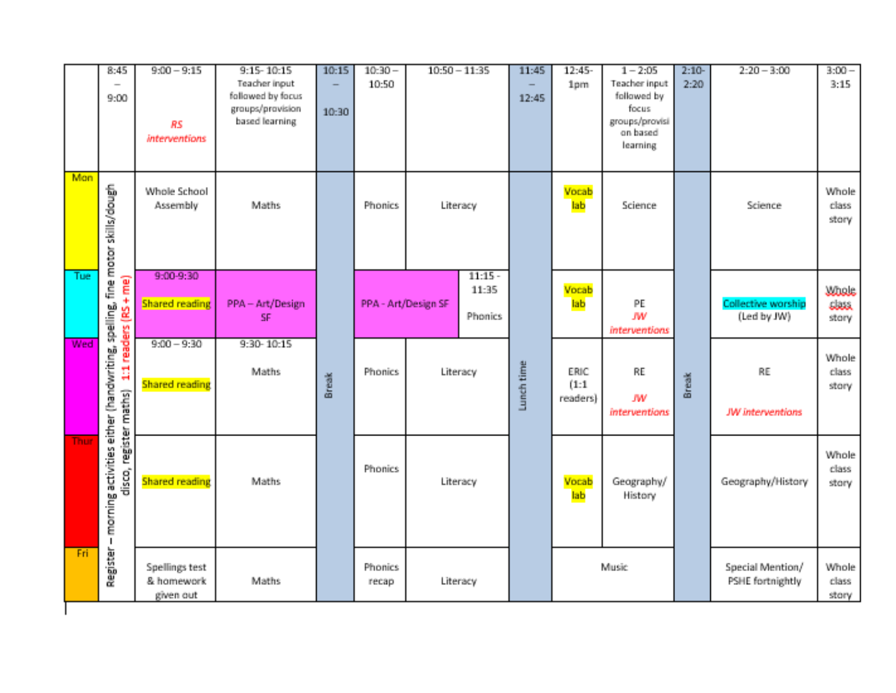|             | 8:45<br>$\sim$<br>9:00                                                            | $9:00 - 9:15$<br><b>RS</b><br><i>interventions</i> | 9:15-10:15<br>Teacher input<br>followed by focus<br>groups/provision<br>based learning | 10:15<br>10:30 | $10:30 -$<br>10:50  |          | $10:50 - 11:35$               | 11:45<br>12:45 | 12:45-<br>1pm             | $1 - 2:05$<br>Teacher input<br>followed by<br>focus.<br>groups/provisi<br>on based<br>learning | $2:10-$<br>2:20 | $2:20 - 3:00$                        | $3:00 -$<br>3:15              |
|-------------|-----------------------------------------------------------------------------------|----------------------------------------------------|----------------------------------------------------------------------------------------|----------------|---------------------|----------|-------------------------------|----------------|---------------------------|------------------------------------------------------------------------------------------------|-----------------|--------------------------------------|-------------------------------|
| Mon         | skills/dough<br>fine motor                                                        | Whole School<br>Assembly                           | <b>Maths</b>                                                                           |                | Phonics             | Literacy |                               |                | Vocab<br>lab              | Science                                                                                        |                 | Science                              | Whole<br>class<br>story       |
| Tue:        | $rac{1}{\sqrt{2}}$<br>spelling,                                                   | 9:00-9:30<br><b>Shared reading</b>                 | PPA-Art/Design<br>SF.                                                                  |                | PPA - Art/Design SF |          | $11:15 -$<br>11:35<br>Phonics |                | Vocab<br>lab              | PE.<br>JW.<br>interventions                                                                    |                 | Collective worship<br>(Led by JW)    | <b>Woole</b><br>dass<br>story |
| <b>Wed</b>  | 1:1 readers (RS                                                                   | $9:00 - 9:90$<br><b>Shared reading</b>             | 9:30-10:15<br>Maths                                                                    | Break          | <b>Phonics</b>      | Literacy |                               | Lunch time     | ERIC.<br>(1:1<br>readers) | RE.<br>JW<br>interventions                                                                     | Break           | RE<br><b>JW</b> interventions        | Whole<br>class<br>story       |
| <b>Thur</b> | morning activities either (handwriting,<br>disco, register maths)<br>$\mathbf{I}$ | <b>Shared reading</b>                              | <b>Maths</b>                                                                           |                | <b>Phonics</b>      | Literacy |                               |                | Vocab<br>lab              | Geography/<br>History                                                                          |                 | Geography/History                    | Whole<br>class<br>story       |
| Fri         | Register                                                                          | Spellings test<br>& homework<br>given out          | <b>Maths</b>                                                                           |                | Phonics<br>recap    |          | Literacy                      |                |                           | Music                                                                                          |                 | Special Mention/<br>PSHE fortnightly | Whole<br>class<br>story       |